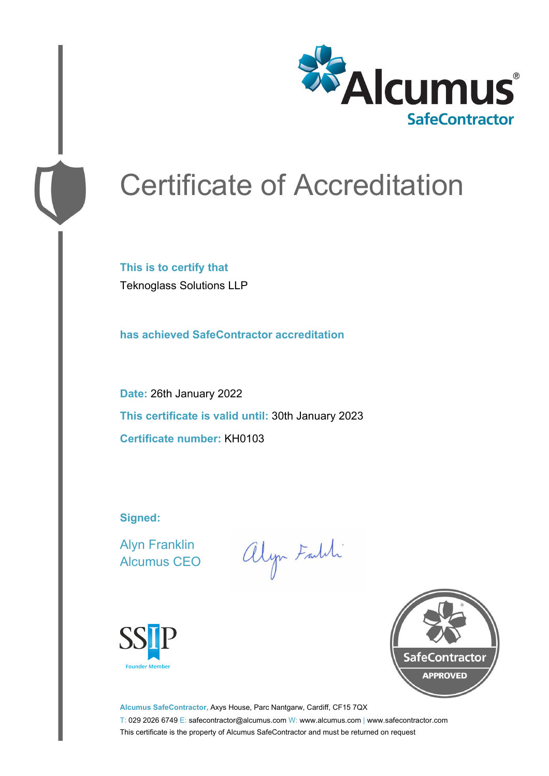

# Certificate of Accreditation

**This is to certify that** Teknoglass Solutions LLP

**has achieved SafeContractor accreditation**

**Date:** 26th January 2022 **This certificate is valid until:** 30th January 2023 **Certificate number:** KH0103

**Signed:**

Alyn Franklin Alcumus CEO

alyn Faith





**Alcumus SafeContractor,** Axys House, Parc Nantgarw, Cardiff, CF15 7QX T: 029 2026 6749 E: safecontractor@alcumus.com W: www.alcumus.com | www.safecontractor.com This certificate is the property of Alcumus SafeContractor and must be returned on request